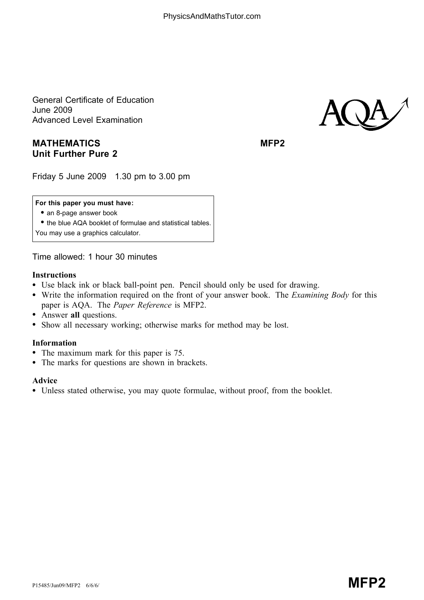General Certificate of Education June 2009 Advanced Level Examination

# MATHEMATICS MEDIAN MEP2 Unit Further Pure 2

AQA

Friday 5 June 2009 1.30 pm to 3.00 pm

### For this paper you must have:

• an 8-page answer book

\* the blue AQA booklet of formulae and statistical tables.

You may use a graphics calculator.

Time allowed: 1 hour 30 minutes

### Instructions

- Use black ink or black ball-point pen. Pencil should only be used for drawing.
- Write the information required on the front of your answer book. The *Examining Body* for this paper is AQA. The Paper Reference is MFP2.
- Answer all questions.
- \* Show all necessary working; otherwise marks for method may be lost.

## Information

- The maximum mark for this paper is 75.
- The marks for questions are shown in brackets.

#### Advice

\* Unless stated otherwise, you may quote formulae, without proof, from the booklet.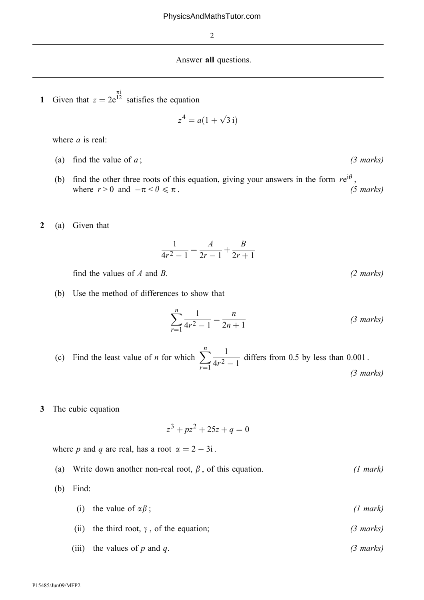#### Answer all questions.

1 Given that  $z = 2e^{\frac{\pi i}{12}}$  satisfies the equation

$$
z^4 = a(1 + \sqrt{3}i)
$$

where *a* is real:

- (a) find the value of  $a$ ; (3 marks)
- (b) find the other three roots of this equation, giving your answers in the form  $re^{i\theta}$ , where  $r > 0$  and  $-\pi < \theta \le \pi$ . (5 marks)

2 (a) Given that

$$
\frac{1}{4r^2 - 1} = \frac{A}{2r - 1} + \frac{B}{2r + 1}
$$

find the values of A and B.  $(2 \text{ marks})$ 

(b) Use the method of differences to show that

$$
\sum_{r=1}^{n} \frac{1}{4r^2 - 1} = \frac{n}{2n + 1}
$$
 (3 marks)

- (c) Find the least value of *n* for which  $\sum_{n=1}^{n}$  $r=1$ 1  $\frac{1}{4r^2-1}$  differs from 0.5 by less than 0.001. (3 marks)
- 3 The cubic equation

$$
z^3 + pz^2 + 25z + q = 0
$$

where p and q are real, has a root  $\alpha = 2 - 3i$ .

(a) Write down another non-real root,  $\beta$ , of this equation. (1 mark)

(b) Find:

- (i) the value of  $\alpha \beta$ ; (1 mark)
- (ii) the third root,  $\gamma$ , of the equation; (3 marks)
- (iii) the values of p and q.  $(3 \text{ marks})$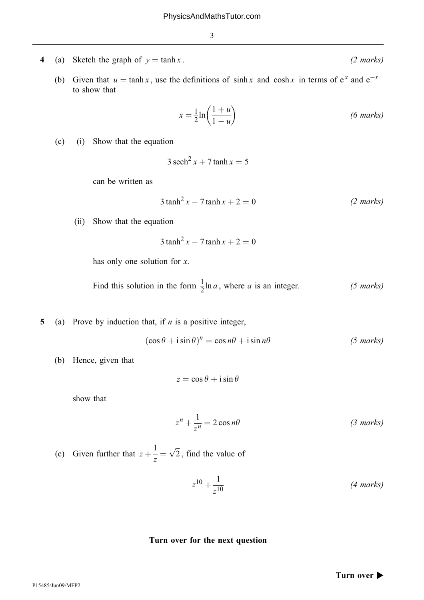- 4 (a) Sketch the graph of  $y = \tanh x$ . (2 marks)
	- (b) Given that  $u = \tanh x$ , use the definitions of sinh x and cosh x in terms of  $e^x$  and  $e^{-x}$ to show that

$$
x = \frac{1}{2} \ln \left( \frac{1+u}{1-u} \right) \tag{6 marks}
$$

(c) (i) Show that the equation

$$
3 \operatorname{sech}^2 x + 7 \tanh x = 5
$$

can be written as

$$
3 \tanh^2 x - 7 \tanh x + 2 = 0
$$
 (2 marks)

(ii) Show that the equation

$$
3 \tanh^2 x - 7 \tanh x + 2 = 0
$$

has only one solution for  $x$ .

Find this solution in the form  $\frac{1}{2} \ln a$ , where a is an integer. (5 marks)

5 (a) Prove by induction that, if  $n$  is a positive integer,

$$
(\cos \theta + i \sin \theta)^n = \cos n\theta + i \sin n\theta \qquad (5 \text{ marks})
$$

(b) Hence, given that

$$
z = \cos \theta + i \sin \theta
$$

show that

$$
z^{n} + \frac{1}{z^{n}} = 2\cos n\theta
$$
 (3 marks)

(c) Given further that  $z +$  $\frac{1}{z} = \sqrt{2}$  $\sqrt{2}$ , find the value of

$$
z^{10} + \frac{1}{z^{10}} \tag{4 marks}
$$

## Turn over for the next question